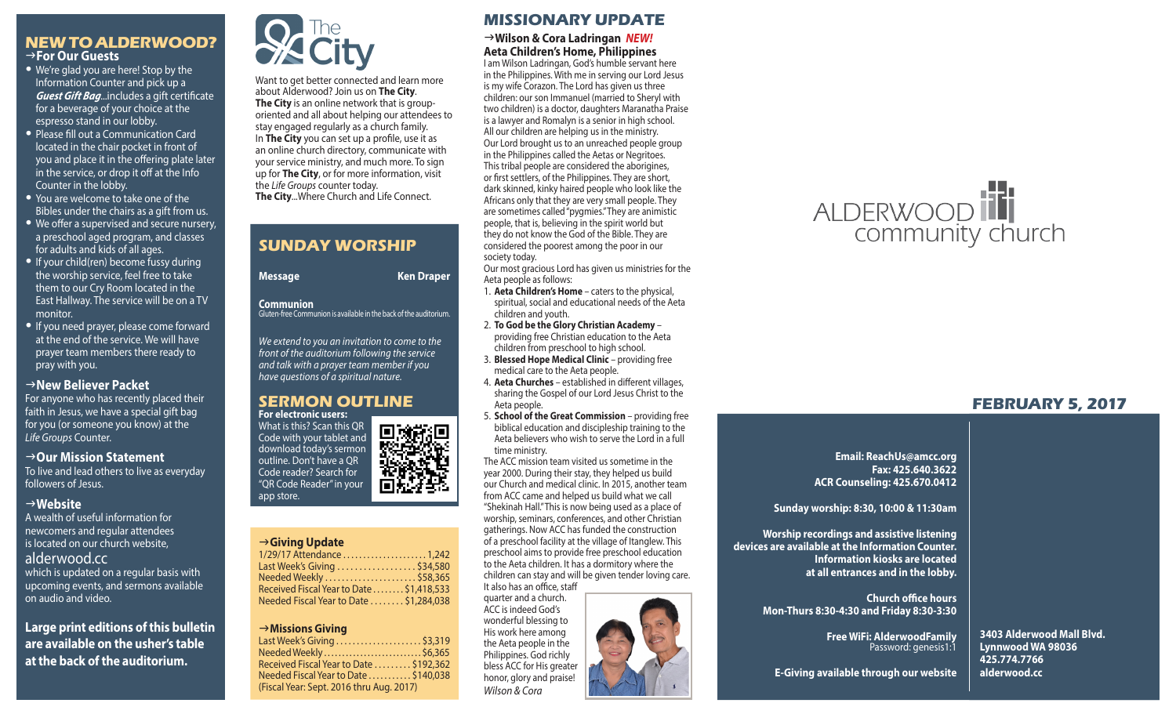# **NEW TO ALDERWOOD?** g**For Our Guests**

- We're glad you are here! Stop by the Information Counter and pick up a *Guest Gift Bag*...includes a gift certificate for a beverage of your choice at the espresso stand in our lobby.
- Please fill out a Communication Card located in the chair pocket in front of you and place it in the offering plate later in the service, or drop it off at the Info Counter in the lobby.
- You are welcome to take one of the Bibles under the chairs as a gift from us.
- We offer a supervised and secure nursery, a preschool aged program, and classes for adults and kids of all ages.
- If your child(ren) become fussy during the worship service, feel free to take them to our Cry Room located in the East Hallway. The service will be on a TV monitor.
- If you need prayer, please come forward at the end of the service. We will have prayer team members there ready to pray with you.

# **New Believer Packet**

For anyone who has recently placed their faith in Jesus, we have a special gift bag for you (or someone you know) at the *Life Groups* Counter.

#### → Our Mission Statement

To live and lead others to live as everyday followers of Jesus.

### g**Website**

A wealth of useful information for newcomers and regular attendees is located on our church website, alderwood.cc which is updated on a regular basis with upcoming events, and sermons available on audio and video.

**Large print editions of this bulletin are available on the usher's table at the back of the auditorium.**



Want to get better connected and learn more about Alderwood? Join us on **The City**. **The City** is an online network that is grouporiented and all about helping our attendees to stay engaged regularly as a church family. In **The City** you can set up a profile, use it as an online church directory, communicate with your service ministry, and much more. To sign up for **The City**, or for more information, visit the *Life Groups* counter today. **The City**...Where Church and Life Connect.

# **SUNDAY WORSHIP**

**Message Ken Draper** 

#### **Communion**

Gluten-free Communion is available in the back of the auditorium.

*We extend to you an invitation to come to the front of the auditorium following the service and talk with a prayer team member if you have questions of a spiritual nature.*

#### **SERMON OUTLINE For electronic users:**

What is this? Scan this QR Code with your tablet and download today's sermon outline. Don't have a QR Code reader? Search for "QR Code Reader" in your O, app store.

#### g**Giving Update** 1/29/17 Attendance . . . . . . . . . . . . . . . . . . . . . 1,242 Last Week's Giving . . . . . . . . . . . . . . . . . . \$34,580 Needed Weekly . . . . . . . . . . . . . . . . . . . . . . \$58,365 Received Fiscal Year to Date . . . . . . . . \$1,418,533 Needed Fiscal Year to Date . . . . . . . . \$1,284,038

#### g**Missions Giving**

| Last Week's Giving \$3,319               |  |
|------------------------------------------|--|
| Needed Weekly\$6,365                     |  |
| Received Fiscal Year to Date  \$192,362  |  |
| Needed Fiscal Year to Date \$140,038     |  |
| (Fiscal Year: Sept. 2016 thru Aug. 2017) |  |
|                                          |  |

# **MISSIONARY UPDATE**

#### g**Wilson & Cora Ladringan** *NEW!* **Aeta Children's Home, Philippines**

I am Wilson Ladringan, God's humble servant here in the Philippines. With me in serving our Lord Jesus is my wife Corazon. The Lord has given us three children: our son Immanuel (married to Sheryl with two children) is a doctor, daughters Maranatha Praise is a lawyer and Romalyn is a senior in high school. All our children are helping us in the ministry. Our Lord brought us to an unreached people group in the Philippines called the Aetas or Negritoes. This tribal people are considered the aborigines, or first settlers, of the Philippines. They are short, dark skinned, kinky haired people who look like the Africans only that they are very small people. They are sometimes called "pygmies." They are animistic people, that is, believing in the spirit world but they do not know the God of the Bible. They are considered the poorest among the poor in our society today.

Our most gracious Lord has given us ministries for the Aeta people as follows:

- 1. **Aeta Children's Home** caters to the physical, spiritual, social and educational needs of the Aeta children and youth.
- 2. **To God be the Glory Christian Academy** providing free Christian education to the Aeta children from preschool to high school.
- 3. **Blessed Hope Medical Clinic** providing free medical care to the Aeta people.
- 4. **Aeta Churches** established in different villages, sharing the Gospel of our Lord Jesus Christ to the Aeta people.
- 5. **School of the Great Commission** providing free biblical education and discipleship training to the Aeta believers who wish to serve the Lord in a full time ministry.

The ACC mission team visited us sometime in the year 2000. During their stay, they helped us build our Church and medical clinic. In 2015, another team from ACC came and helped us build what we call "Shekinah Hall." This is now being used as a place of worship, seminars, conferences, and other Christian gatherings. Now ACC has funded the construction of a preschool facility at the village of Itanglew. This preschool aims to provide free preschool education to the Aeta children. It has a dormitory where the children can stay and will be given tender loving care. It also has an office, staff

quarter and a church. ACC is indeed God's wonderful blessing to His work here among the Aeta people in the Philippines. God richly bless ACC for His greater honor, glory and praise! *Wilson & Cora*





# **FEBRUARY 5, 2017**

**Email: ReachUs@amcc.org Fax: 425.640.3622 ACR Counseling: 425.670.0412**

**Sunday worship: 8:30, 10:00 & 11:30am**

**Worship recordings and assistive listening devices are available at the Information Counter. Information kiosks are located at all entrances and in the lobby.**

> **Church office hours Mon-Thurs 8:30-4:30 and Friday 8:30-3:30**

> > **Free WiFi: AlderwoodFamily**  Password: genesis1:1

**3403 Alderwood Mall Blvd. Lynnwood WA 98036 425.774.7766 alderwood.cc** 

**E-Giving available through our website**